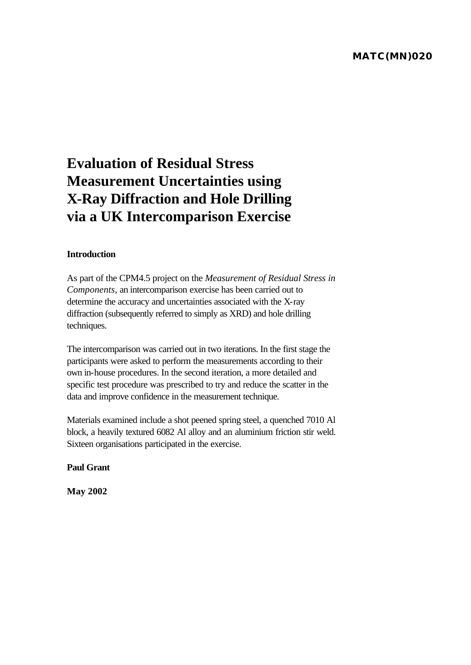# **Evaluation of Residual Stress Measurement Uncertainties using X-Ray Diffraction and Hole Drilling via a UK Intercomparison Exercise**

## **Introduction**

As part of the CPM4.5 project on the *Measurement of Residual Stress in Components,* an intercomparison exercise has been carried out to determine the accuracy and uncertainties associated with the X-ray diffraction (subsequently referred to simply as XRD) and hole drilling techniques.

The intercomparison was carried out in two iterations. In the first stage the participants were asked to perform the measurements according to their own in-house procedures. In the second iteration, a more detailed and specific test procedure was prescribed to try and reduce the scatter in the data and improve confidence in the measurement technique.

Materials examined include a shot peened spring steel, a quenched 7010 Al block, a heavily textured 6082 Al alloy and an aluminium friction stir weld. Sixteen organisations participated in the exercise.

**Paul Grant** 

**May 2002**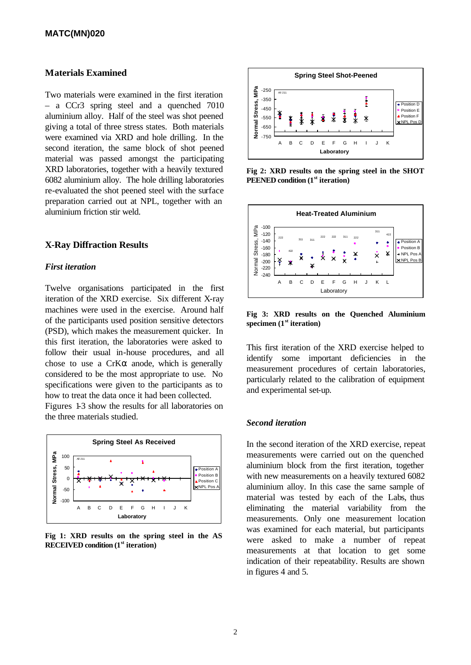## **Materials Examined**

Two materials were examined in the first iteration – a CCr3 spring steel and a quenched 7010 aluminium alloy. Half of the steel was shot peened giving a total of three stress states. Both materials were examined via XRD and hole drilling. In the second iteration, the same block of shot peened material was passed amongst the participating XRD laboratories, together with a heavily textured 6082 aluminium alloy. The hole drilling laboratories re-evaluated the shot peened steel with the surface preparation carried out at NPL, together with an aluminium friction stir weld.

## **X-Ray Diffraction Results**

#### *First iteration*

Twelve organisations participated in the first iteration of the XRD exercise. Six different X-ray machines were used in the exercise. Around half of the participants used position sensitive detectors (PSD), which makes the measurement quicker. In this first iteration, the laboratories were asked to follow their usual in-house procedures, and all chose to use a  $CrK\alpha$  anode, which is generally considered to be the most appropriate to use. No specifications were given to the participants as to how to treat the data once it had been collected.

Figures 1-3 show the results for all laboratories on the three materials studied.



**Fig 1: XRD results on the spring steel in the AS RECEIVED condition (1st iteration)**



**Fig 2: XRD results on the spring steel in the SHOT PEENED condition (1st iteration)**



**Fig 3: XRD results on the Quenched Aluminium specimen (1st iteration)**

This first iteration of the XRD exercise helped to identify some important deficiencies in the measurement procedures of certain laboratories, particularly related to the calibration of equipment and experimental set-up.

#### *Second iteration*

In the second iteration of the XRD exercise, repeat measurements were carried out on the quenched aluminium block from the first iteration, together with new measurements on a heavily textured 6082 aluminium alloy. In this case the same sample of material was tested by each of the Labs, thus eliminating the material variability from the measurements. Only one measurement location was examined for each material, but participants were asked to make a number of repeat measurements at that location to get some indication of their repeatability. Results are shown in figures 4 and 5.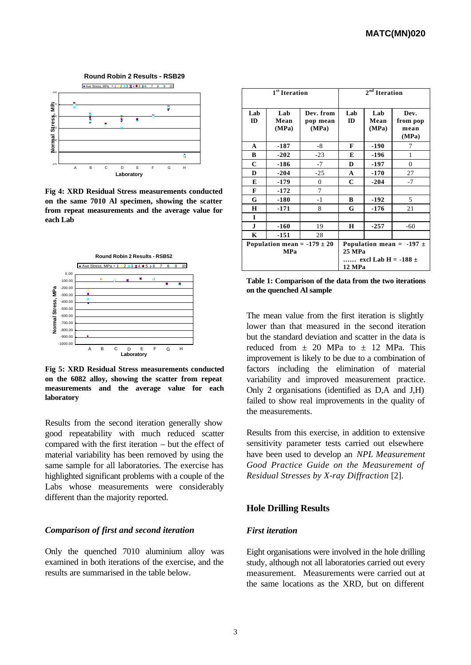

**Fig 4: XRD Residual Stress measurements conducted on the same 7010 Al specimen, showing the scatter from repeat measurements and the average value for each Lab**



**Fig 5: XRD Residual Stress measurements conducted on the 6082 alloy, showing the scatter from repeat measurements and the average value for each laboratory**

Results from the second iteration generally show good repeatability with much reduced scatter compared with the first iteration – but the effect of material variability has been removed by using the same sample for all laboratories. The exercise has highlighted significant problems with a couple of the Labs whose measurements were considerably different than the majority reported.

#### *Comparison of first and second iteration*

Only the quenched 7010 aluminium alloy was examined in both iterations of the exercise, and the results are summarised in the table below.

| 1 <sup>st</sup> Iteration                     |                      |                                | $2nd$ Iteration                                                             |                      |                                   |  |
|-----------------------------------------------|----------------------|--------------------------------|-----------------------------------------------------------------------------|----------------------|-----------------------------------|--|
| Lab<br>ID                                     | Lab<br>Mean<br>(MPa) | Dev. from<br>pop mean<br>(MPa) | Lab<br>ID                                                                   | Lab<br>Mean<br>(MPa) | Dev.<br>from pop<br>mean<br>(MPa) |  |
| A                                             | $-187$               | -8                             | F                                                                           | $-190$               | 7                                 |  |
| В                                             | $-202$               | $-23$                          | E                                                                           | $-196$               | 1                                 |  |
| $\mathbf C$                                   | $-186$               | $-7$                           | D                                                                           | -197                 | $\Omega$                          |  |
| D                                             | $-204$               | $-25$                          | A                                                                           | $-170$               | 27                                |  |
| E                                             | $-179$               | $\mathbf{0}$                   | $\mathbf C$                                                                 | $-204$               | $-7$                              |  |
| F                                             | $-172$               | 7                              |                                                                             |                      |                                   |  |
| G                                             | $-180$               | $-1$                           | В                                                                           | $-192$               | 5                                 |  |
| Н                                             | $-171$               | 8                              | G                                                                           | $-176$               | 21                                |  |
| I                                             |                      |                                |                                                                             |                      |                                   |  |
| $\mathbf{J}$                                  | $-160$               | 19                             | Н                                                                           | $-257$               | $-60$                             |  |
| K                                             | $-151$               | 28                             |                                                                             |                      |                                   |  |
| Population mean = $-179 \pm 20$<br><b>MPa</b> |                      |                                | Population mean = $-197 \pm$<br>25 MPa<br>excl Lab H = -188 $\pm$<br>12 MPa |                      |                                   |  |

**Table 1: Comparison of the data from the two iterations on the quenched Al sample**

The mean value from the first iteration is slightly lower than that measured in the second iteration but the standard deviation and scatter in the data is reduced from  $\pm$  20 MPa to  $\pm$  12 MPa. This improvement is likely to be due to a combination of factors including the elimination of material variability and improved measurement practice. Only 2 organisations (identified as D,A and J,H) failed to show real improvements in the quality of the measurements.

Results from this exercise, in addition to extensive sensitivity parameter tests carried out elsewhere have been used to develop an *NPL Measurement Good Practice Guide on the Measurement of Residual Stresses by X-ray Diffraction* [2].

#### **Hole Drilling Results**

#### *First iteration*

Eight organisations were involved in the hole drilling study, although not all laboratories carried out every measurement. Measurements were carried out at the same locations as the XRD, but on different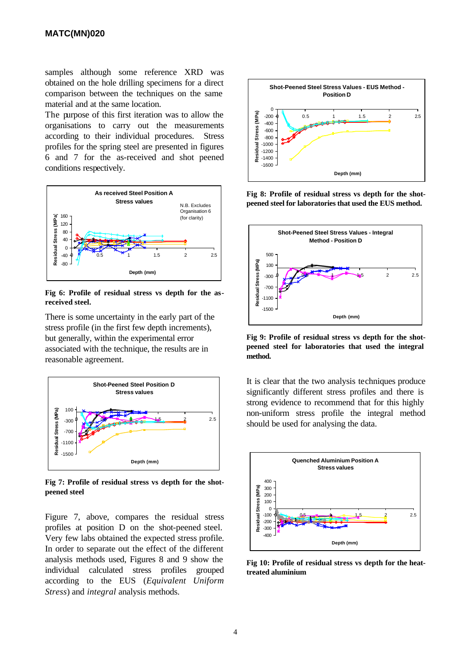samples although some reference XRD was obtained on the hole drilling specimens for a direct comparison between the techniques on the same material and at the same location.

The purpose of this first iteration was to allow the organisations to carry out the measurements according to their individual procedures. Stress profiles for the spring steel are presented in figures 6 and 7 for the as-received and shot peened conditions respectively.



**Fig 6: Profile of residual stress vs depth for the asreceived steel.**

There is some uncertainty in the early part of the stress profile (in the first few depth increments), but generally, within the experimental error associated with the technique, the results are in reasonable agreement.



**Fig 7: Profile of residual stress vs depth for the shotpeened steel**

Figure 7, above, compares the residual stress profiles at position D on the shot-peened steel. Very few labs obtained the expected stress profile. In order to separate out the effect of the different analysis methods used, Figures 8 and 9 show the individual calculated stress profiles grouped according to the EUS (*Equivalent Uniform Stress*) and *integral* analysis methods.



**Fig 8: Profile of residual stress vs depth for the shotpeened steel for laboratories that used the EUS method.**



**Fig 9: Profile of residual stress vs depth for the shotpeened steel for laboratories that used the integral method.**

It is clear that the two analysis techniques produce significantly different stress profiles and there is strong evidence to recommend that for this highly non-uniform stress profile the integral method should be used for analysing the data.



**Fig 10: Profile of residual stress vs depth for the heattreated aluminium**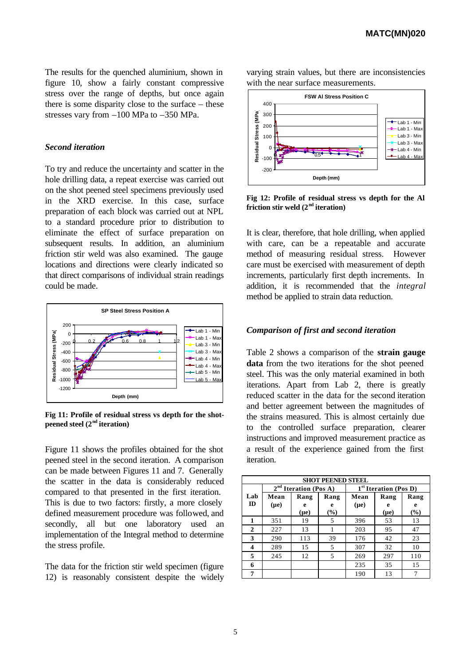The results for the quenched aluminium, shown in figure 10, show a fairly constant compressive stress over the range of depths, but once again there is some disparity close to the surface – these stresses vary from –100 MPa to –350 MPa.

## *Second iteration*

To try and reduce the uncertainty and scatter in the hole drilling data, a repeat exercise was carried out on the shot peened steel specimens previously used in the XRD exercise. In this case, surface preparation of each block was carried out at NPL to a standard procedure prior to distribution to eliminate the effect of surface preparation on subsequent results. In addition, an aluminium friction stir weld was also examined. The gauge locations and directions were clearly indicated so that direct comparisons of individual strain readings could be made.



**Fig 11: Profile of residual stress vs depth for the shotpeened steel (2nd iteration)**

Figure 11 shows the profiles obtained for the shot peened steel in the second iteration. A comparison can be made between Figures 11 and 7. Generally the scatter in the data is considerably reduced compared to that presented in the first iteration. This is due to two factors: firstly, a more closely defined measurement procedure was followed, and secondly, all but one laboratory used an implementation of the Integral method to determine the stress profile.

The data for the friction stir weld specimen (figure 12) is reasonably consistent despite the widely



varying strain values, but there are inconsistencies

**Fig 12: Profile of residual stress vs depth for the Al friction stir weld (2nd iteration)**

It is clear, therefore, that hole drilling, when applied with care, can be a repeatable and accurate method of measuring residual stress. However care must be exercised with measurement of depth increments, particularly first depth increments. In addition, it is recommended that the *integral* method be applied to strain data reduction.

#### *Comparison of first and second iteration*

Table 2 shows a comparison of the **strain gauge data** from the two iterations for the shot peened steel. This was the only material examined in both iterations. Apart from Lab 2, there is greatly reduced scatter in the data for the second iteration and better agreement between the magnitudes of the strains measured. This is almost certainly due to the controlled surface preparation, clearer instructions and improved measurement practice as a result of the experience gained from the first iteration.

| <b>SHOT PEENED STEEL</b> |                                   |           |        |                                   |           |      |  |  |  |
|--------------------------|-----------------------------------|-----------|--------|-----------------------------------|-----------|------|--|--|--|
|                          | 2 <sup>nd</sup> Iteration (Pos A) |           |        | 1 <sup>st</sup> Iteration (Pos D) |           |      |  |  |  |
| Lab                      | Mean                              | Rang      | Rang   | Mean                              | Rang      | Rang |  |  |  |
| ID                       | $(\mu e)$                         | e         | e      | $(\mu e)$                         | e         | e    |  |  |  |
|                          |                                   | $(\mu e)$ | $(\%)$ |                                   | $(\mu e)$ | (%)  |  |  |  |
| 1                        | 351                               | 19        | 5      | 396                               | 53        | 13   |  |  |  |
| 2                        | 227                               | 13        |        | 203                               | 95        | 47   |  |  |  |
| 3                        | 290                               | 113       | 39     | 176                               | 42        | 23   |  |  |  |
| 4                        | 289                               | 15        | 5      | 307                               | 32        | 10   |  |  |  |
| 5                        | 245                               | 12        | 5      | 269                               | 297       | 110  |  |  |  |
| 6                        |                                   |           |        | 235                               | 35        | 15   |  |  |  |
| 7                        |                                   |           |        | 190                               | 13        |      |  |  |  |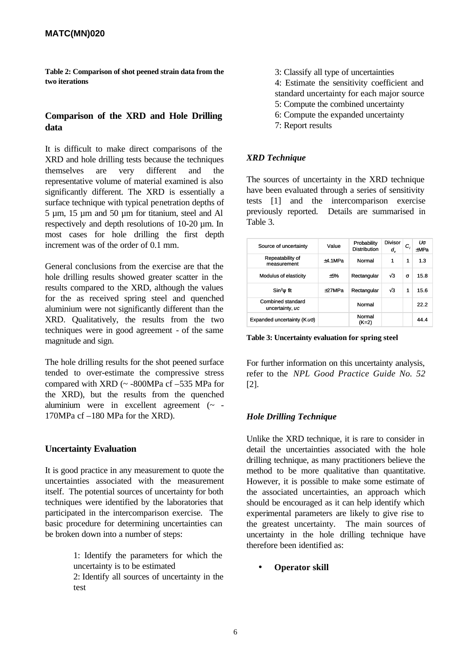**Table 2: Comparison of shot peened strain data from the two iterations**

## **Comparison of the XRD and Hole Drilling data**

It is difficult to make direct comparisons of the XRD and hole drilling tests because the techniques themselves are very different and the representative volume of material examined is also significantly different. The XRD is essentially a surface technique with typical penetration depths of 5 µm, 15 µm and 50 µm for titanium, steel and Al respectively and depth resolutions of 10-20 µm. In most cases for hole drilling the first depth increment was of the order of 0.1 mm.

General conclusions from the exercise are that the hole drilling results showed greater scatter in the results compared to the XRD, although the values for the as received spring steel and quenched aluminium were not significantly different than the XRD. Qualitatively, the results from the two techniques were in good agreement - of the same magnitude and sign.

The hole drilling results for the shot peened surface tended to over-estimate the compressive stress compared with XRD (~ -800MPa cf –535 MPa for the XRD), but the results from the quenched aluminium were in excellent agreement (~ - 170MPa cf –180 MPa for the XRD).

## **Uncertainty Evaluation**

It is good practice in any measurement to quote the uncertainties associated with the measurement itself. The potential sources of uncertainty for both techniques were identified by the laboratories that participated in the intercomparison exercise. The basic procedure for determining uncertainties can be broken down into a number of steps:

> 1: Identify the parameters for which the uncertainty is to be estimated 2: Identify all sources of uncertainty in the test

- 3: Classify all type of uncertainties
- 4: Estimate the sensitivity coefficient and
- standard uncertainty for each major source
- 5: Compute the combined uncertainty
- 6: Compute the expanded uncertainty
- 7: Report results

## *XRD Technique*

The sources of uncertainty in the XRD technique have been evaluated through a series of sensitivity tests [1] and the intercomparison exercise previously reported. Details are summarised in Table 3.

| Source of uncertainty                | Value    | Probability<br><b>Distribution</b> | Divisor<br>d, | c,       | Us<br>+MPa |
|--------------------------------------|----------|------------------------------------|---------------|----------|------------|
| Repeatability of<br>measurement      | +4.1MPa  | Normal                             | 1             | 1        | 1.3        |
| Modulus of elasticity                | $+5%$    | Rectangular                        | $\sqrt{3}$    | $\sigma$ | 15.8       |
| $\sin^2\psi$ fit                     | $+27MPa$ | Rectangular                        | $\sqrt{3}$    | 1        | 15.6       |
| Combined standard<br>uncertainty, uc |          | Normal                             |               |          | 22.2       |
| Expanded uncertainty (K us)          |          | Normal<br>(K=2)                    |               |          | 44.4       |

**Table 3: Uncertainty evaluation for spring steel**

For further information on this uncertainty analysis, refer to the *NPL Good Practice Guide No. 52* [2].

## *Hole Drilling Technique*

Unlike the XRD technique, it is rare to consider in detail the uncertainties associated with the hole drilling technique, as many practitioners believe the method to be more qualitative than quantitative. However, it is possible to make some estimate of the associated uncertainties, an approach which should be encouraged as it can help identify which experimental parameters are likely to give rise to the greatest uncertainty. The main sources of uncertainty in the hole drilling technique have therefore been identified as:

• **Operator skill**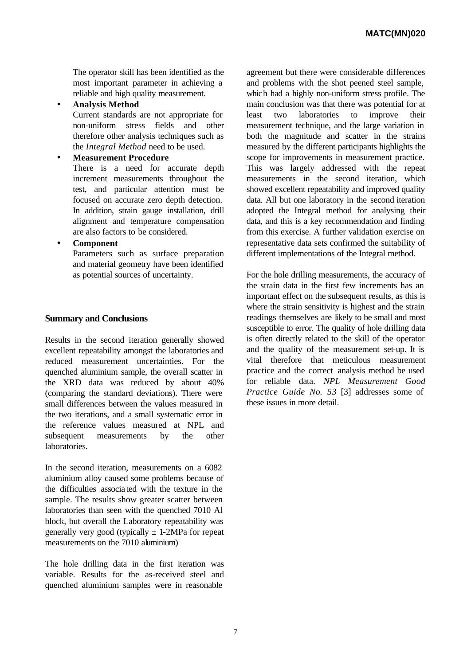The operator skill has been identified as the most important parameter in achieving a reliable and high quality measurement.

• **Analysis Method**

Current standards are not appropriate for non-uniform stress fields and other therefore other analysis techniques such as the *Integral Method* need to be used.

## • **Measurement Procedure**

There is a need for accurate depth increment measurements throughout the test, and particular attention must be focused on accurate zero depth detection. In addition, strain gauge installation, drill alignment and temperature compensation are also factors to be considered.

## • **Component**

Parameters such as surface preparation and material geometry have been identified as potential sources of uncertainty.

## **Summary and Conclusions**

Results in the second iteration generally showed excellent repeatability amongst the laboratories and reduced measurement uncertainties. For the quenched aluminium sample, the overall scatter in the XRD data was reduced by about 40% (comparing the standard deviations). There were small differences between the values measured in the two iterations, and a small systematic error in the reference values measured at NPL and subsequent measurements by the other laboratories.

In the second iteration, measurements on a 6082 aluminium alloy caused some problems because of the difficulties associated with the texture in the sample. The results show greater scatter between laboratories than seen with the quenched 7010 Al block, but overall the Laboratory repeatability was generally very good (typically  $\pm$  1-2MPa for repeat measurements on the 7010 aluminium)

The hole drilling data in the first iteration was variable. Results for the as-received steel and quenched aluminium samples were in reasonable

agreement but there were considerable differences and problems with the shot peened steel sample, which had a highly non-uniform stress profile. The main conclusion was that there was potential for at least two laboratories to improve their measurement technique, and the large variation in both the magnitude and scatter in the strains measured by the different participants highlights the scope for improvements in measurement practice. This was largely addressed with the repeat measurements in the second iteration, which showed excellent repeatability and improved quality data. All but one laboratory in the second iteration adopted the Integral method for analysing their data, and this is a key recommendation and finding from this exercise. A further validation exercise on representative data sets confirmed the suitability of different implementations of the Integral method.

For the hole drilling measurements, the accuracy of the strain data in the first few increments has an important effect on the subsequent results, as this is where the strain sensitivity is highest and the strain readings themselves are likely to be small and most susceptible to error. The quality of hole drilling data is often directly related to the skill of the operator and the quality of the measurement set-up. It is vital therefore that meticulous measurement practice and the correct analysis method be used for reliable data. *NPL Measurement Good Practice Guide No. 53* [3] addresses some of these issues in more detail.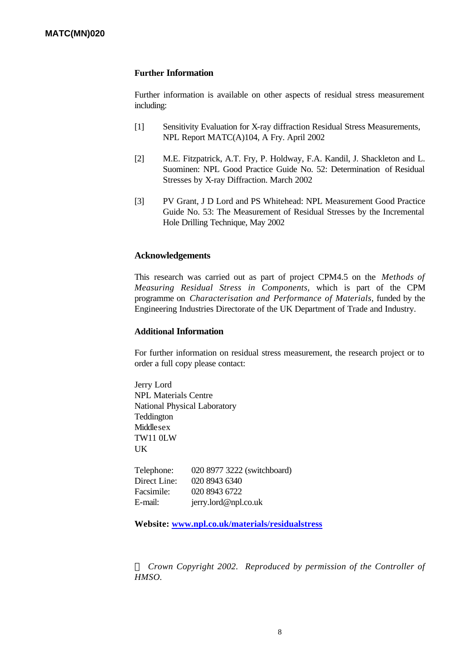## **Further Information**

Further information is available on other aspects of residual stress measurement including:

- [1] Sensitivity Evaluation for X-ray diffraction Residual Stress Measurements, NPL Report MATC(A)104, A Fry. April 2002
- [2] M.E. Fitzpatrick, A.T. Fry, P. Holdway, F.A. Kandil, J. Shackleton and L. Suominen: NPL Good Practice Guide No. 52: Determination of Residual Stresses by X-ray Diffraction. March 2002
- [3] PV Grant, J D Lord and PS Whitehead: NPL Measurement Good Practice Guide No. 53: The Measurement of Residual Stresses by the Incremental Hole Drilling Technique, May 2002

## **Acknowledgements**

This research was carried out as part of project CPM4.5 on the *Methods of Measuring Residual Stress in Components,* which is part of the CPM programme on *Characterisation and Performance of Materials,* funded by the Engineering Industries Directorate of the UK Department of Trade and Industry.

## **Additional Information**

For further information on residual stress measurement, the research project or to order a full copy please contact:

Jerry Lord NPL Materials Centre National Physical Laboratory Teddington Middlesex TW11 0LW UK

Telephone: 020 8977 3222 (switchboard) Direct Line: 020 8943 6340 Facsimile: 020 8943 6722 E-mail: jerry.lord@npl.co.uk

**Website: www.npl.co.uk/materials/residualstress**

*Ó Crown Copyright 2002. Reproduced by permission of the Controller of HMSO.*